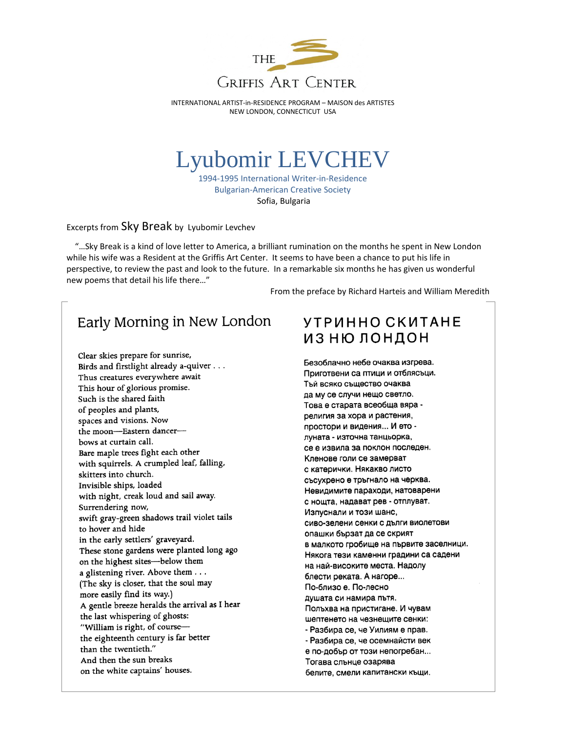

## Lyubomir LEVCHEV

1994-1995 International Writer-in-Residence Bulgarian-American Creative Society Sofia, Bulgaria

Excerpts from Sky Break by Lyubomir Levchev

 "…Sky Break is a kind of love letter to America, a brilliant rumination on the months he spent in New London while his wife was a Resident at the Griffis Art Center. It seems to have been a chance to put his life in perspective, to review the past and look to the future. In a remarkable six months he has given us wonderful new poems that detail his life there…"

From the preface by Richard Harteis and William Meredith

## Early Morning in New London

Clear skies prepare for sunrise, Birds and firstlight already a-quiver . . . Thus creatures everywhere await This hour of glorious promise. Such is the shared faith of peoples and plants, spaces and visions. Now the moon-Eastern dancerbows at curtain call. Bare maple trees fight each other with squirrels. A crumpled leaf, falling, skitters into church. Invisible ships, loaded with night, creak loud and sail away. Surrendering now, swift gray-green shadows trail violet tails to hover and hide in the early settlers' graveyard. These stone gardens were planted long ago on the highest sites-below them a glistening river. Above them . . . (The sky is closer, that the soul may more easily find its way.) A gentle breeze heralds the arrival as I hear the last whispering of ghosts: "William is right, of coursethe eighteenth century is far better than the twentieth." And then the sun breaks on the white captains' houses.

## **УТРИННО СКИТАНЕ** ИЗНЮ ЛОНДОН

Безоблачно небе очаква изгрева. Приготвени са птици и отблясъци. Тъй всяко същество очаква да му се случи нещо светло. Това е старата всеобща вяра религия за хора и растения, простори и видения... И ето луната - източна танцьорка, се е извила за поклон последен. Кленове голи се замерват с катерички. Някакво листо съсухрено е тръгнало на черква. Невидимите параходи, натоварени с нощта, надават рев - отплуват. Изпуснали и този шанс, сиво-зелени сенки с дълги виолетови опашки бързат да се скрият в малкото гробище на първите заселници. Някога тези каменни градини са садени на най-високите места. Надолу блести реката. А нагоре... По-близо е. По-лесно душата си намира пътя. Польхва на пристигане. И чувам шептенето на чезнещите сенки: - Разбира се, че Уилиям е прав. - Разбира се, че осемнайсти век е по-добър от този непогребан... Тогава слънце озарява белите, смели капитански къщи.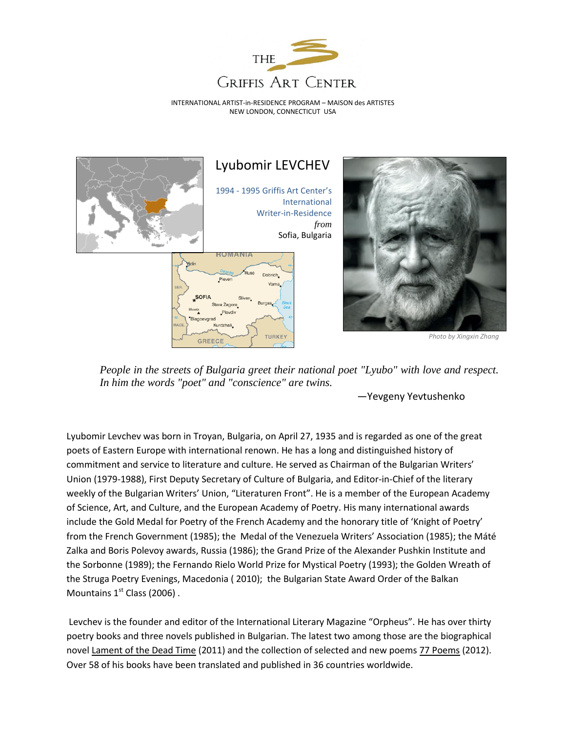



*People in the streets of Bulgaria greet their national poet "Lyubo" with love and respect. In him the words "poet" and "conscience" are twins.*

—Yevgeny Yevtushenko

Lyubomir Levchev was born in Troyan, Bulgaria, on April 27, 1935 and is regarded as one of the great poets of Eastern Europe with international renown. He has a long and distinguished history of commitment and service to literature and culture. He served as Chairman of the Bulgarian Writers' Union (1979-1988), First Deputy Secretary of Culture of Bulgaria, and Editor-in-Chief of the literary weekly of the Bulgarian Writers' Union, "Literaturen Front". He is a member of the European Academy of Science, Art, and Culture, and the European Academy of Poetry. His many international awards include the Gold Medal for Poetry of the French Academy and the honorary title of 'Knight of Poetry' from the French Government (1985); the Medal of the Venezuela Writers' Association (1985); the Máté Zalka and Boris Polevoy awards, Russia (1986); the Grand Prize of the Alexander Pushkin Institute and the Sorbonne (1989); the Fernando Rielo World Prize for Mystical Poetry (1993); the Golden Wreath of the Struga Poetry Evenings, Macedonia ( 2010); the Bulgarian State Award Order of the Balkan Mountains  $1<sup>st</sup>$  Class (2006).

Levchev is the founder and editor of the International Literary Magazine "Orpheus". He has over thirty poetry books and three novels published in Bulgarian. The latest two among those are the biographical novel Lament of the Dead Time (2011) and the collection of selected and new poems 77 Poems (2012). Over 58 of his books have been translated and published in 36 countries worldwide.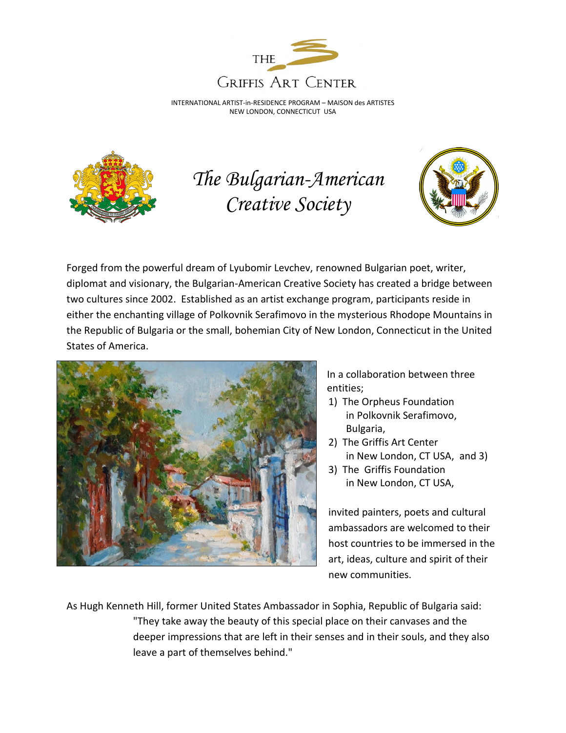



*The Bulgarian-American Creative Society*



Forged from the powerful dream of Lyubomir Levchev, renowned Bulgarian poet, writer, diplomat and visionary, the Bulgarian-American Creative Society has created a bridge between two cultures since 2002. Established as an artist exchange program, participants reside in either the enchanting village of Polkovnik Serafimovo in the mysterious Rhodope Mountains in the Republic of Bulgaria or the small, bohemian City of New London, Connecticut in the United States of America.



In a collaboration between three entities;

- 1) The Orpheus Foundation in Polkovnik Serafimovo, Bulgaria,
- 2) The Griffis Art Center in New London, CT USA, and 3)
- 3) The Griffis Foundation in New London, CT USA,

invited painters, poets and cultural ambassadors are welcomed to their host countries to be immersed in the art, ideas, culture and spirit of their new communities.

As Hugh Kenneth Hill, former United States Ambassador in Sophia, Republic of Bulgaria said: "They take away the beauty of this special place on their canvases and the deeper impressions that are left in their senses and in their souls, and they also leave a part of themselves behind."